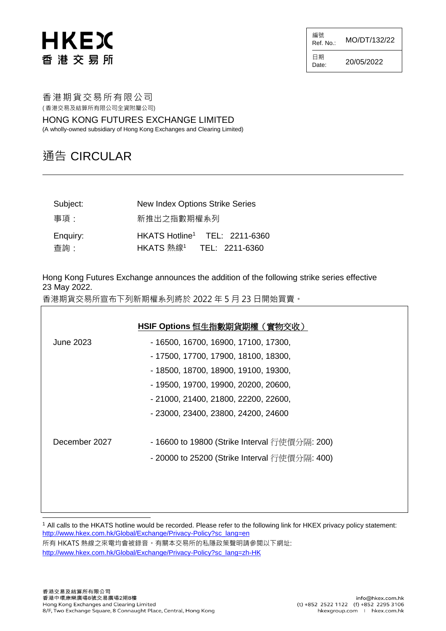## **HKEX** 香港交易所

編號<br>Ref. No.: Ref. No.: MO/DT/132/22 日期 Date:  $20/05/2022$ 

香港期貨交易所有限公司 ( 香港交易及結算所有限公司全資附屬公司)

HONG KONG FUTURES EXCHANGE LIMITED (A wholly-owned subsidiary of Hong Kong Exchanges and Clearing Limited)

## 通告 CIRCULAR

| Subject:         | New Index Options Strike Series                                                   |
|------------------|-----------------------------------------------------------------------------------|
| 事項:              | 新推出之指數期權系列                                                                        |
| Enquiry:<br>查詢 : | HKATS Hotline <sup>1</sup> TEL: 2211-6360<br>HKATS 熱線 <sup>1</sup> TEL: 2211-6360 |

Hong Kong Futures Exchange announces the addition of the following strike series effective 23 May 2022.

香港期貨交易所宣布下列新期權系列將於 2022 年 5 月 23 日開始買賣。

|               | HSIF Options 恒生指數期貨期權 ( 實物交收)                 |  |
|---------------|-----------------------------------------------|--|
| June 2023     | - 16500, 16700, 16900, 17100, 17300,          |  |
|               | - 17500, 17700, 17900, 18100, 18300,          |  |
|               | - 18500, 18700, 18900, 19100, 19300,          |  |
|               | - 19500, 19700, 19900, 20200, 20600,          |  |
|               | - 21000, 21400, 21800, 22200, 22600,          |  |
|               | - 23000, 23400, 23800, 24200, 24600           |  |
|               |                                               |  |
| December 2027 | - 16600 to 19800 (Strike Interval 行使價分隔: 200) |  |
|               | - 20000 to 25200 (Strike Interval 行使價分隔: 400) |  |
|               |                                               |  |
|               |                                               |  |
|               |                                               |  |

<sup>1</sup> All calls to the HKATS hotline would be recorded. Please refer to the following link for HKEX privacy policy statement: [http://www.hkex.com.hk/Global/Exchange/Privacy-Policy?sc\\_lang=en](http://www.hkex.com.hk/Global/Exchange/Privacy-Policy?sc_lang=en) 所有 HKATS 熱線之來電均會被錄音。有關本交易所的私隱政策聲明請參閲以下網址: [http://www.hkex.com.hk/Global/Exchange/Privacy-Policy?sc\\_lang=zh-HK](http://www.hkex.com.hk/Global/Exchange/Privacy-Policy?sc_lang=zh-HK)

l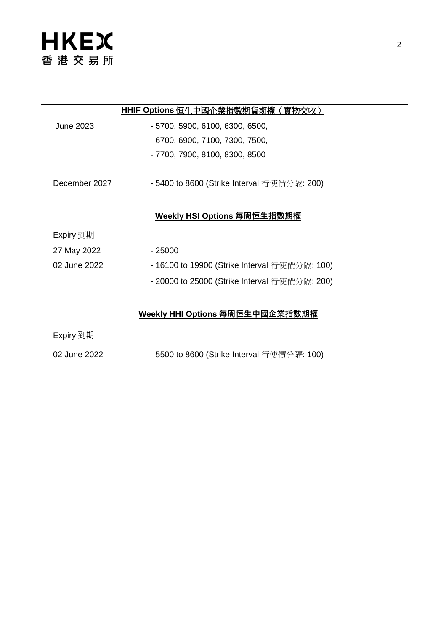|                  | HHIF Options 恒生中國企業指數期貨期權(實物交收)               |
|------------------|-----------------------------------------------|
| <b>June 2023</b> | - 5700, 5900, 6100, 6300, 6500,               |
|                  | - 6700, 6900, 7100, 7300, 7500,               |
|                  | - 7700, 7900, 8100, 8300, 8500                |
| December 2027    | - 5400 to 8600 (Strike Interval 行使價分隔: 200)   |
|                  | <u>Weekly HSI Options 每周恒生指數期權</u>            |
| <u>Expiry 到期</u> |                                               |
| 27 May 2022      | $-25000$                                      |
| 02 June 2022     | - 16100 to 19900 (Strike Interval 行使價分隔: 100) |
|                  | - 20000 to 25000 (Strike Interval 行使價分隔: 200) |
|                  |                                               |
|                  | Weekly HHI Options 每周恒生中國企業指數期權               |
| <u>Expiry 到期</u> |                                               |
| 02 June 2022     | - 5500 to 8600 (Strike Interval 行使價分隔: 100)   |
|                  |                                               |
|                  |                                               |
|                  |                                               |